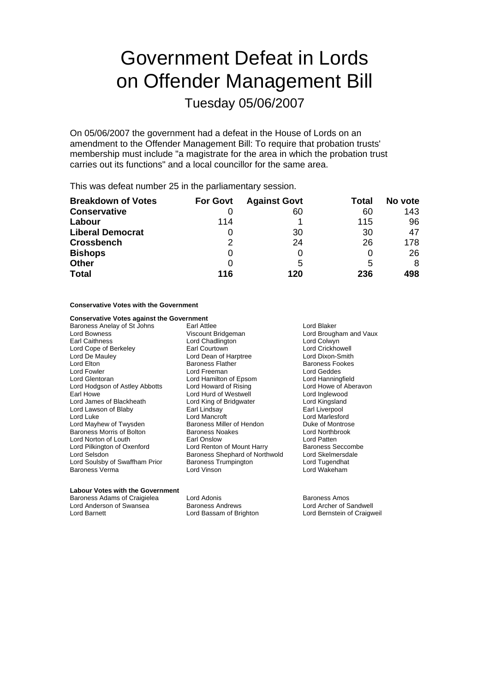# Government Defeat in Lords on Offender Management Bill

Tuesday 05/06/2007

On 05/06/2007 the government had a defeat in the House of Lords on an amendment to the Offender Management Bill: To require that probation trusts' membership must include "a magistrate for the area in which the probation trust carries out its functions" and a local councillor for the same area.

This was defeat number 25 in the parliamentary session.

| <b>Breakdown of Votes</b> | <b>For Govt</b> | <b>Against Govt</b> | Total | No vote |
|---------------------------|-----------------|---------------------|-------|---------|
| <b>Conservative</b>       |                 | 60                  | 60    | 143     |
| Labour                    | 114             |                     | 115   | 96      |
| <b>Liberal Democrat</b>   | O               | 30                  | 30    | 47      |
| <b>Crossbench</b>         | 2               | 24                  | 26    | 178     |
| <b>Bishops</b>            | 0               |                     | O     | 26      |
| <b>Other</b>              | O               | 5                   | 5     | 8       |
| <b>Total</b>              | 116             | 120                 | 236   | 498     |

### **Conservative Votes with the Government**

### **Conservative Votes against the Government**

Baroness Anelay of St Johns Earl Attlee Early 1996 Cord Blaker Lord Bowness **Lord Bridgeman** Lord Bridgeman Lord Brougham and Vaux<br>
Lord Caithness **Lord Chadlington** Lord Colwyn Lord Cope of Berkeley **Earl Courtown** Earl Courtown<br>
Lord De Mauley **Earl Courtown** Lord Dean of Harptree **Lord Dixon-Smith** Lord Elton **Contract Contract Contract Contract Contract Contract Contract Contract Contract Contract Contract Contract Contract Contract Contract Contract Contract Contract Contract Contract Contract Contract Contract Con** Lord Fowler **Communist Communist Communist Communist Communist Communist Communist Communist Communist Communist Communist Communist Communist Communist Communist Communist Communist Communist Communist Communist Communist** Lord Hodgson of Astley Abbotts Lord Howard of Rising Lord Howe of Aberavon<br>
Lord Lord Howe Lord Hurd of Westwell Lord Inglewood Earl Howe Lord Hurd of Westwell Lord Inglewood Lord Lawson of Blaby Lord Luke Lord Marcroft Lord Mancroft Lord Marlesford<br>
Lord Marcroft Lord Marcroft Lord Marcroft Lord Marcroft Lord Marcroft Lord Marcroft Lord Marcroft Lord Marcro Lord Mayhew of Twysden **Baroness Miller of Hendon** Duke of Montros<br>Baroness Morris of Bolton **Baroness Noakes** Baroness Noakes Baroness Morris of Bolton Baroness No<br>
Lord Norton of Louth Lord Earl Onslow Lord Norton of Louth Earl Onslow Lord Patten Lord Pilkington of Oxenford Lord Renton of Mount Harry Baroness Seccombe<br>
Lord Selsdon Cord Skelmersdale<br>
Lord Skelmersdale Lord Soulsby of Swaffham Prior Baroness Verma Lord Vinson Lord Wakeham

Lord Chadlington **Lord Colwyn**<br> **Earl Courtown** Lord Crickhowell Lord Dean of Harptree Lord Hamilton of Epsom Lord King of Bridgwater Lord Kingsland<br>Earl Lindsay Lord Kingsland Baroness Shephard of Northwold Lord Skelmersda<br>Baroness Trumpington Lord Tugendhat

#### **Labour Votes with the Government**

Lord Anderson of Swansea

Baroness Adams of Craigielea Lord Adonis Lord Adonis and Baroness Amos<br>
Lord Anderson of Swansea Baroness Andrews Lord Archer of Sandwell

Lord Barnett Lord Bassam of Brighton Lord Bernstein of Craigweil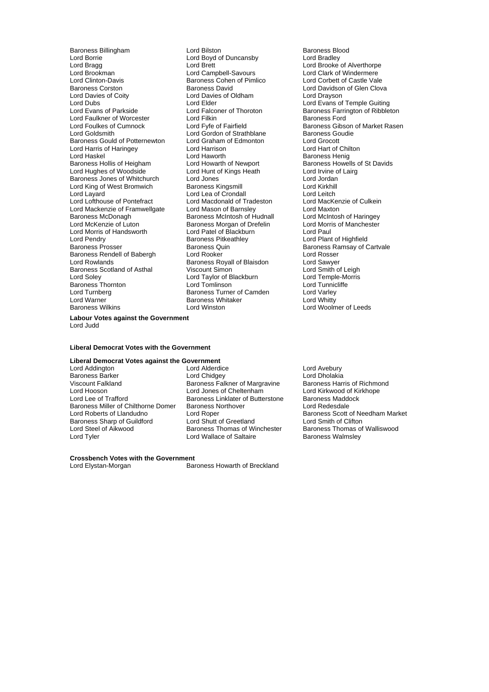Baroness Billingham **Example 2** Lord Bilston Baroness Blood Lord Baroness Blood Lord Baroness Blood Lord Bradley Lord Borrie **Lord Boyd of Duncansby**<br>
Lord Brada Lord Bragg Lord Brett Lord Brett Lord Brooke of Alverthorpe<br>
Lord Brookman Lord Campbell-Savours Lord Clark of Windermere Lord Brookman **Lord Campbell-Savours** Lord Campbell-Savours Lord Clark of Windermere<br>
Lord Clinton-Davis **Lord Computer Care Computer Computer** Lord Corbett of Castle Vale Lord Clinton-Davis **Baroness Cohen of Pimlico**<br>Baroness Corston **Baroness Corpe** Baroness David Baroness Corston **Baroness David** Baroness David Lord Davidson of Glen Clova<br>
Lord Davies of Coity **Lord Davies Cold Corporation** Lord Drayson Lord Davies of Coity<br>
Lord Davies of Oldham<br>
Lord Dubs<br>
Lord Elder Lord Evans of Parkside **Lord Falconer of Thoroton** Baroness Farrington of Ribbleton<br>
Lord Faulkner of Worcester **Lord Filkin** Lord Filkin Baroness Ford Lord Faulkner of Worcester Lord Filkin<br>Lord Foulkes of Cumnock Lord Fvfe of Fairfield Lord Foulkes of Cumnock Lord Fyfe of Fairfield Baroness Gibson of Market Rasen<br>Lord Goldsmith Baroness Goudie Baroness Gould of Potternewton Lord Graham of Edmonton Lord Grocott<br>
Lord Harris of Haringey Lord Harrison Lord Harrison Lord Harrison Lord Harris of Haringey Lord Haworth Baroness Henig<br>
Baroness Hollis of Heigham Lord Howarth of Newport Baroness Howel Baroness Hollis of Heigham Lord Howarth of Newport Baroness Howells of St Davids<br>
Lord Hundhes of Woodside Lord Hunt of Kings Heath Lord Irvine of Lairg Baroness Jones of Whitchurch Lord Jones Lord Jordan Lord King of West Bromwich **Baroness Kingsmill Baroness Kingsmill** Lord Kirkhill<br>
Lord Layard **Condall** Lord Lea of Crondall Lord Lofthouse of Pontefract Lord Macdonald of Trade<br>Lord Mackenzie of Framwellgate Lord Mason of Barnsley Lord Mackenzie of Framwellgate Lord Mason of Barnsley Lord Maxton<br>
Baroness McDonagh Baroness McIntosh of Hudnall Lord McIntosh of Haringey Baroness McDonagh Baroness McIntosh of Hudnall<br>
Lord McKenzie of Luton Baroness Morgan of Drefelin Lord Morris of Handsworth Lord Patel of Blackburn Lord Paul Lord Pendry **Communist Communist Communist Communist Communist Communist Communist Communist Communist Communist Communist Communist Communist Communist Communist Communist Communist Communist Communist Communist Communist** Baroness Rendell of Babergh Lord Rooker Lord Rosser Baroness Scotland of Asthal Viscount Simon Correspondences Scotland of Asthal Viscount Simon Correspondence Lord Temple-Morris Baroness Bookana<br>
Lord Soley<br>
Baroness Thornton Lord Turnberg Turner of Camden Cammer of Cammer Correspondent Lord Varley<br>
Lord Warner Correspondent Correspondent Correspondent Lord Whitty Lord Warner **Communist Communist Constructs**<br>Baroness Wilkins **Baroness** White Lord Winston

Lord Gordon of Strathblane Baroness Goudies<br>
Lord Graham of Edmonton Lord Grocott Lord Hunt of Kings Heath Lord Irvine of Lord Irvine of Lord Irvine of Lord Irvine of Lord In Lord In Lord In Lord In Lord In Lord In Lord In Lord In Lord In Lord In Lord In Lord In Lord In Lord In Lord In Lord In Lord In L Lord Lea of Crondall<br>
Lord Macdonald of Tradeston<br>
Lord MacKenzie of Culkein Baroness Morgan of Drefelin Lord Morris of Manchester<br>
Lord Patel of Blackburn Lord Paul Baroness Royall of Blaisdon<br>
Viscount Simon<br>
Lord Smith of Leigh Lord Taylor of Blackburn Lord Temple-Morris Lord Temple-Morris<br>
Lord Tomlinson Lord Tunnicliffe

Lord Elder<br>
Lord Ealconer of Thoroton<br>
Baroness Farrington of Ribblet Baroness Quin **Baroness Ramsay of Cartvale**<br> **Baroness Ramsay of Cartvale**<br>
Lord Rosser Lord Woolmer of Leeds

**Labour Votes against the Government** Lord Judd

#### **Liberal Democrat Votes with the Government**

# **Liberal Democrat Votes against the Government**

Baroness Barker Lord Chidgey Lord Dholakia Viscount Falkland Baroness Falkner of Margravine<br>
Lord Hooson Lord Dones of Cheltenham Lord Hooson Lord Jones of Cheltenham Lord Kirkwood of Kirkhope Baroness Miller of Chilthorne Domer Baroness N<br>Lord Roberts of Llandudno Lord Rober Baroness Sharp of Guildford Lord Shutt of Greetland Lord Smith of Clifton<br>
Lord Steel of Aikwood Baroness Thomas of Winchester Baroness Thomas of Walliswood

Lord Addington **Lord Alderdice** Lord Avebury<br> **Baroness Barker** Corresponding Lord Chidgey **Lord Avebury**<br>
Lord Chidgey **Corresponding Corresponding Corresponding Ave** Baroness Linklater of Butterstone Baroness Maddon<br>Baroness Northover Baroness Lord Redesdale Lord Steel of Aikwood **Baroness Thomas of Winchester** Baroness Thomas of Winchester Baroness Thomas of Lord Wallace of Saltaire **Baroness Walmsley** Lord Wallace of Saltaire

Lord Roper<br>
Lord Roberts of Lord Shutt of Greetland<br>
Lord Shutt of Greetland<br>
Lord Smith of Clifton

# **Crossbench Votes with the Government**<br>Lord Elvstan-Morgan

Baroness Howarth of Breckland